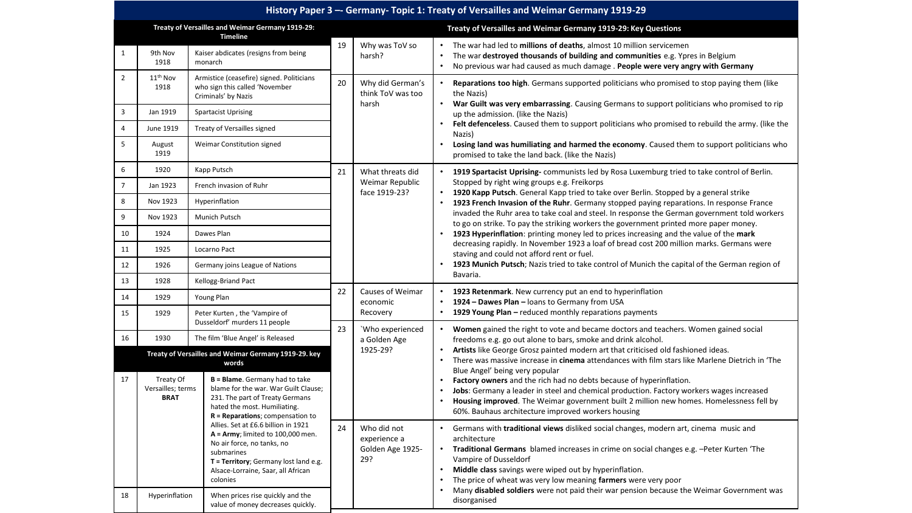| History Paper 3 -- Germany- Topic 1: Treaty of Versailles and Weimar Germany 1919-29 |                                                               |                                                                                                                                                                                                                    |    |                                                        |                                                                                                                                                                                                                                                                                                                                                                                                                                                                                                               |  |  |  |
|--------------------------------------------------------------------------------------|---------------------------------------------------------------|--------------------------------------------------------------------------------------------------------------------------------------------------------------------------------------------------------------------|----|--------------------------------------------------------|---------------------------------------------------------------------------------------------------------------------------------------------------------------------------------------------------------------------------------------------------------------------------------------------------------------------------------------------------------------------------------------------------------------------------------------------------------------------------------------------------------------|--|--|--|
| Treaty of Versailles and Weimar Germany 1919-29:<br><b>Timeline</b>                  |                                                               |                                                                                                                                                                                                                    |    |                                                        | Treaty of Versailles and Weimar Germany 1919-29: Key Questions                                                                                                                                                                                                                                                                                                                                                                                                                                                |  |  |  |
| $\mathbf{1}$                                                                         | 9th Nov<br>1918                                               | Kaiser abdicates (resigns from being<br>monarch                                                                                                                                                                    | 19 | Why was ToV so<br>harsh?                               | The war had led to millions of deaths, almost 10 million servicemen<br>The war destroyed thousands of building and communities e.g. Ypres in Belgium<br>No previous war had caused as much damage . People were very angry with Germany                                                                                                                                                                                                                                                                       |  |  |  |
| $\overline{2}$                                                                       | 11 <sup>th</sup> Nov<br>1918                                  | Armistice (ceasefire) signed. Politicians<br>who sign this called 'November<br>Criminals' by Nazis                                                                                                                 | 20 | Why did German's<br>think ToV was too<br>harsh         | Reparations too high. Germans supported politicians who promised to stop paying them (like<br>the Nazis)<br>War Guilt was very embarrassing. Causing Germans to support politicians who promised to rip<br>up the admission. (like the Nazis)<br>Felt defenceless. Caused them to support politicians who promised to rebuild the army. (like the<br>Nazis)<br>Losing land was humiliating and harmed the economy. Caused them to support politicians who<br>promised to take the land back. (like the Nazis) |  |  |  |
| $\overline{3}$                                                                       | Jan 1919                                                      | <b>Spartacist Uprising</b>                                                                                                                                                                                         |    |                                                        |                                                                                                                                                                                                                                                                                                                                                                                                                                                                                                               |  |  |  |
| $\overline{4}$                                                                       | June 1919                                                     | Treaty of Versailles signed                                                                                                                                                                                        |    |                                                        |                                                                                                                                                                                                                                                                                                                                                                                                                                                                                                               |  |  |  |
| 5                                                                                    | August<br>1919                                                | Weimar Constitution signed                                                                                                                                                                                         |    |                                                        |                                                                                                                                                                                                                                                                                                                                                                                                                                                                                                               |  |  |  |
| 6                                                                                    | 1920                                                          | Kapp Putsch<br>French invasion of Ruhr                                                                                                                                                                             |    | What threats did<br>Weimar Republic<br>face 1919-23?   | 1919 Spartacist Uprising-communists led by Rosa Luxemburg tried to take control of Berlin.<br>Stopped by right wing groups e.g. Freikorps<br>1920 Kapp Putsch. General Kapp tried to take over Berlin. Stopped by a general strike                                                                                                                                                                                                                                                                            |  |  |  |
| $\overline{7}$                                                                       | Jan 1923                                                      |                                                                                                                                                                                                                    |    |                                                        |                                                                                                                                                                                                                                                                                                                                                                                                                                                                                                               |  |  |  |
| 8                                                                                    | Nov 1923                                                      | Hyperinflation                                                                                                                                                                                                     |    |                                                        | 1923 French Invasion of the Ruhr. Germany stopped paying reparations. In response France                                                                                                                                                                                                                                                                                                                                                                                                                      |  |  |  |
| 9                                                                                    | Nov 1923                                                      | Munich Putsch                                                                                                                                                                                                      |    |                                                        | invaded the Ruhr area to take coal and steel. In response the German government told workers<br>to go on strike. To pay the striking workers the government printed more paper money.                                                                                                                                                                                                                                                                                                                         |  |  |  |
| 10                                                                                   | 1924                                                          | Dawes Plan                                                                                                                                                                                                         |    |                                                        | 1923 Hyperinflation: printing money led to prices increasing and the value of the mark                                                                                                                                                                                                                                                                                                                                                                                                                        |  |  |  |
| 11                                                                                   | 1925                                                          | Locarno Pact                                                                                                                                                                                                       |    |                                                        | decreasing rapidly. In November 1923 a loaf of bread cost 200 million marks. Germans were<br>staving and could not afford rent or fuel.                                                                                                                                                                                                                                                                                                                                                                       |  |  |  |
| 12                                                                                   | 1926                                                          | Germany joins League of Nations                                                                                                                                                                                    |    |                                                        | 1923 Munich Putsch; Nazis tried to take control of Munich the capital of the German region of<br>Bavaria.                                                                                                                                                                                                                                                                                                                                                                                                     |  |  |  |
| 13                                                                                   | 1928                                                          | Kellogg-Briand Pact                                                                                                                                                                                                |    | Causes of Weimar                                       |                                                                                                                                                                                                                                                                                                                                                                                                                                                                                                               |  |  |  |
| 14                                                                                   | 1929                                                          | Young Plan                                                                                                                                                                                                         |    | economic                                               | 1923 Retenmark. New currency put an end to hyperinflation<br>1924 - Dawes Plan - loans to Germany from USA                                                                                                                                                                                                                                                                                                                                                                                                    |  |  |  |
| 15                                                                                   | 1929                                                          | Peter Kurten, the 'Vampire of<br>Dusseldorf' murders 11 people                                                                                                                                                     |    | Recovery<br>'Who experienced                           | 1929 Young Plan - reduced monthly reparations payments<br>Women gained the right to vote and became doctors and teachers. Women gained social                                                                                                                                                                                                                                                                                                                                                                 |  |  |  |
| 16                                                                                   | 1930                                                          | The film 'Blue Angel' is Released                                                                                                                                                                                  |    | a Golden Age                                           | freedoms e.g. go out alone to bars, smoke and drink alcohol.                                                                                                                                                                                                                                                                                                                                                                                                                                                  |  |  |  |
|                                                                                      | Treaty of Versailles and Weimar Germany 1919-29. key<br>words |                                                                                                                                                                                                                    |    | 1925-29?                                               | Artists like George Grosz painted modern art that criticised old fashioned ideas.<br>There was massive increase in cinema attendances with film stars like Marlene Dietrich in 'The<br>Blue Angel' being very popular                                                                                                                                                                                                                                                                                         |  |  |  |
| 17                                                                                   | Treaty Of<br>Versailles; terms<br><b>BRAT</b>                 | <b>B = Blame</b> . Germany had to take<br>blame for the war. War Guilt Clause;<br>231. The part of Treaty Germans<br>hated the most. Humiliating.<br>$R = Reparations; compensation to$                            |    |                                                        | Factory owners and the rich had no debts because of hyperinflation.<br>Jobs: Germany a leader in steel and chemical production. Factory workers wages increased<br>Housing improved. The Weimar government built 2 million new homes. Homelessness fell by<br>60%. Bauhaus architecture improved workers housing                                                                                                                                                                                              |  |  |  |
|                                                                                      |                                                               | Allies. Set at £6.6 billion in 1921<br>$A = Army$ ; limited to 100,000 men.<br>No air force, no tanks, no<br>submarines<br>T = Territory; Germany lost land e.g.<br>Alsace-Lorraine, Saar, all African<br>colonies | 24 | Who did not<br>experience a<br>Golden Age 1925-<br>29? | Germans with <b>traditional views</b> disliked social changes, modern art, cinema music and<br>architecture<br>Traditional Germans blamed increases in crime on social changes e.g. -Peter Kurten 'The<br>Vampire of Dusseldorf<br>Middle class savings were wiped out by hyperinflation.<br>$\bullet$<br>The price of wheat was very low meaning farmers were very poor<br>Many disabled soldiers were not paid their war pension because the Weimar Government was                                          |  |  |  |
| 18                                                                                   |                                                               | When prices rise quickly and the<br>Hyperinflation<br>value of money decreases quickly.                                                                                                                            |    |                                                        | disorganised                                                                                                                                                                                                                                                                                                                                                                                                                                                                                                  |  |  |  |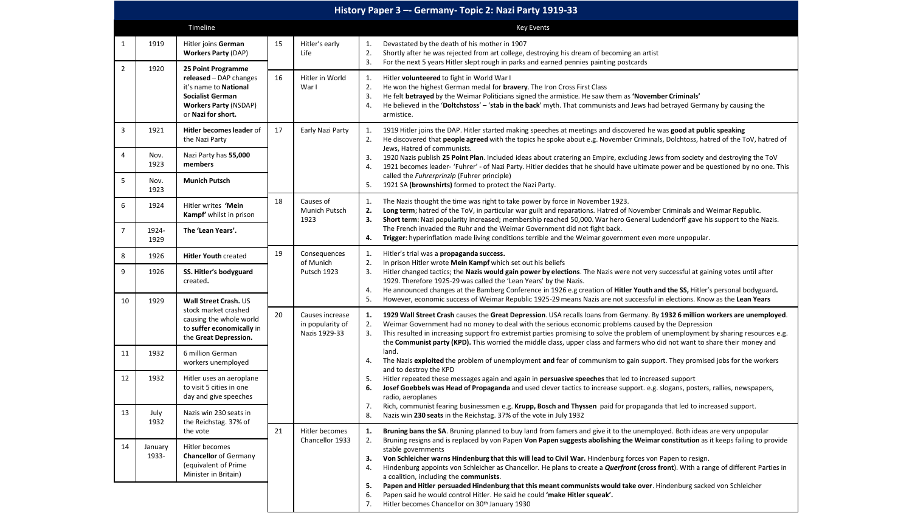|                | History Paper 3 -- Germany- Topic 2: Nazi Party 1919-33 |                                                                                                                                                        |                                                            |                                    |                                                                                                                                                                                                                                                                                                                                                                                                                                                                                                                                                                                                                                                                                                                                          |  |  |  |  |  |
|----------------|---------------------------------------------------------|--------------------------------------------------------------------------------------------------------------------------------------------------------|------------------------------------------------------------|------------------------------------|------------------------------------------------------------------------------------------------------------------------------------------------------------------------------------------------------------------------------------------------------------------------------------------------------------------------------------------------------------------------------------------------------------------------------------------------------------------------------------------------------------------------------------------------------------------------------------------------------------------------------------------------------------------------------------------------------------------------------------------|--|--|--|--|--|
| Timeline       |                                                         |                                                                                                                                                        | <b>Key Events</b>                                          |                                    |                                                                                                                                                                                                                                                                                                                                                                                                                                                                                                                                                                                                                                                                                                                                          |  |  |  |  |  |
| 1              | 1919                                                    | Hitler joins German<br><b>Workers Party (DAP)</b>                                                                                                      | 15                                                         | Hitler's early<br>Life             | Devastated by the death of his mother in 1907<br>1.<br>2.<br>Shortly after he was rejected from art college, destroying his dream of becoming an artist<br>3.<br>For the next 5 years Hitler slept rough in parks and earned pennies painting postcards                                                                                                                                                                                                                                                                                                                                                                                                                                                                                  |  |  |  |  |  |
| $\overline{2}$ | 1920                                                    | 25 Point Programme<br>released - DAP changes<br>it's name to National<br><b>Socialist German</b><br><b>Workers Party (NSDAP)</b><br>or Nazi for short. | 16                                                         | Hitler in World<br>Warl            | Hitler volunteered to fight in World War I<br>1.<br>2.<br>He won the highest German medal for bravery. The Iron Cross First Class<br>3.<br>He felt betrayed by the Weimar Politicians signed the armistice. He saw them as 'November Criminals'<br>4.<br>He believed in the 'Doltchstoss' - 'stab in the back' myth. That communists and Jews had betrayed Germany by causing the<br>armistice.                                                                                                                                                                                                                                                                                                                                          |  |  |  |  |  |
| 3              | 1921                                                    | Hitler becomes leader of<br>the Nazi Party                                                                                                             | 17                                                         | Early Nazi Party                   | 1.<br>1919 Hitler joins the DAP. Hitler started making speeches at meetings and discovered he was good at public speaking<br>2.<br>He discovered that people agreed with the topics he spoke about e.g. November Criminals, Dolchtoss, hatred of the ToV, hatred of                                                                                                                                                                                                                                                                                                                                                                                                                                                                      |  |  |  |  |  |
| 4              | Nov.<br>1923                                            | Nazi Party has 55,000<br>members                                                                                                                       |                                                            |                                    | Jews, Hatred of communists.<br>3.<br>1920 Nazis publish 25 Point Plan. Included ideas about cratering an Empire, excluding Jews from society and destroying the ToV<br>4.<br>1921 becomes leader- 'Fuhrer' - of Nazi Party. Hitler decides that he should have ultimate power and be questioned by no one. This                                                                                                                                                                                                                                                                                                                                                                                                                          |  |  |  |  |  |
| 5              | Nov.<br>1923                                            | <b>Munich Putsch</b>                                                                                                                                   |                                                            |                                    | called the <i>Fuhrerprinzip</i> (Fuhrer principle)<br>1921 SA (brownshirts) formed to protect the Nazi Party.<br>5.                                                                                                                                                                                                                                                                                                                                                                                                                                                                                                                                                                                                                      |  |  |  |  |  |
| 6              | 1924                                                    | Hitler writes 'Mein<br>Kampf' whilst in prison                                                                                                         | 18                                                         | Causes of<br>Munich Putsch<br>1923 | The Nazis thought the time was right to take power by force in November 1923.<br>1.<br>2.<br>Long term; hatred of the ToV, in particular war guilt and reparations. Hatred of November Criminals and Weimar Republic.<br>Short term: Nazi popularity increased; membership reached 50,000. War hero General Ludendorff gave his support to the Nazis.<br>3.                                                                                                                                                                                                                                                                                                                                                                              |  |  |  |  |  |
| 7              | 1924-<br>1929                                           | The 'Lean Years'.                                                                                                                                      |                                                            |                                    | The French invaded the Ruhr and the Weimar Government did not fight back.<br>Trigger: hyperinflation made living conditions terrible and the Weimar government even more unpopular.<br>4.                                                                                                                                                                                                                                                                                                                                                                                                                                                                                                                                                |  |  |  |  |  |
| 8              | 1926                                                    | <b>Hitler Youth created</b>                                                                                                                            | 19                                                         | Consequences<br>of Munich          | Hitler's trial was a propaganda success.<br>1.<br>2.<br>In prison Hitler wrote Mein Kampf which set out his beliefs                                                                                                                                                                                                                                                                                                                                                                                                                                                                                                                                                                                                                      |  |  |  |  |  |
| 9              | 1926                                                    | SS. Hitler's bodyguard<br>created.                                                                                                                     |                                                            | Putsch 1923                        | 3.<br>Hitler changed tactics; the Nazis would gain power by elections. The Nazis were not very successful at gaining votes until after<br>1929. Therefore 1925-29 was called the 'Lean Years' by the Nazis.<br>He announced changes at the Bamberg Conference in 1926 e.g creation of Hitler Youth and the SS, Hitler's personal bodyguard.<br>4.                                                                                                                                                                                                                                                                                                                                                                                        |  |  |  |  |  |
| 10             | 1929                                                    | Wall Street Crash. US<br>stock market crashed<br>causing the whole world<br>to suffer economically in<br>the Great Depression.                         | 20<br>Causes increase<br>in popularity of<br>Nazis 1929-33 |                                    | 5.<br>However, economic success of Weimar Republic 1925-29 means Nazis are not successful in elections. Know as the Lean Years<br>1.<br>1929 Wall Street Crash causes the Great Depression. USA recalls loans from Germany. By 1932 6 million workers are unemployed.<br>2.<br>Weimar Government had no money to deal with the serious economic problems caused by the Depression<br>This resulted in increasing support fro extremist parties promising to solve the problem of unemployment by sharing resources e.g.<br>3.<br>the Communist party (KPD). This worried the middle class, upper class and farmers who did not want to share their money and                                                                             |  |  |  |  |  |
| 11             | 1932                                                    | 6 million German<br>workers unemployed                                                                                                                 |                                                            |                                    | land.<br>The Nazis exploited the problem of unemployment and fear of communism to gain support. They promised jobs for the workers<br>4.                                                                                                                                                                                                                                                                                                                                                                                                                                                                                                                                                                                                 |  |  |  |  |  |
| 12             | 1932                                                    | Hitler uses an aeroplane<br>to visit 5 cities in one<br>day and give speeches                                                                          |                                                            |                                    | and to destroy the KPD<br>Hitler repeated these messages again and again in persuasive speeches that led to increased support<br>5.<br>6.<br>Josef Goebbels was Head of Propaganda and used clever tactics to increase support. e.g. slogans, posters, rallies, newspapers,<br>radio, aeroplanes                                                                                                                                                                                                                                                                                                                                                                                                                                         |  |  |  |  |  |
| 13             | July<br>1932                                            | Nazis win 230 seats in<br>the Reichstag. 37% of<br>the vote                                                                                            | 21                                                         | Hitler becomes                     | 7.<br>Rich, communist fearing businessmen e.g. Krupp, Bosch and Thyssen paid for propaganda that led to increased support.<br>8.<br>Nazis win 230 seats in the Reichstag. 37% of the vote in July 1932                                                                                                                                                                                                                                                                                                                                                                                                                                                                                                                                   |  |  |  |  |  |
| 14             | January<br>1933-                                        | Hitler becomes<br><b>Chancellor</b> of Germany<br>(equivalent of Prime<br>Minister in Britain)                                                         | Chancellor 1933                                            |                                    | Bruning bans the SA. Bruning planned to buy land from famers and give it to the unemployed. Both ideas are very unpopular<br>2.<br>Bruning resigns and is replaced by von Papen Von Papen suggests abolishing the Weimar constitution as it keeps failing to provide<br>stable governments<br>Von Schleicher warns Hindenburg that this will lead to Civil War. Hindenburg forces von Papen to resign.<br>3.<br>Hindenburg appoints von Schleicher as Chancellor. He plans to create a <b>Querfront (cross front</b> ). With a range of different Parties in<br>4.<br>a coalition, including the communists.<br>Papen and Hitler persuaded Hindenburg that this meant communists would take over. Hindenburg sacked von Schleicher<br>5. |  |  |  |  |  |
|                |                                                         |                                                                                                                                                        |                                                            |                                    | Papen said he would control Hitler. He said he could 'make Hitler squeak'.<br>6.<br>Hitler becomes Chancellor on 30th January 1930<br>7.                                                                                                                                                                                                                                                                                                                                                                                                                                                                                                                                                                                                 |  |  |  |  |  |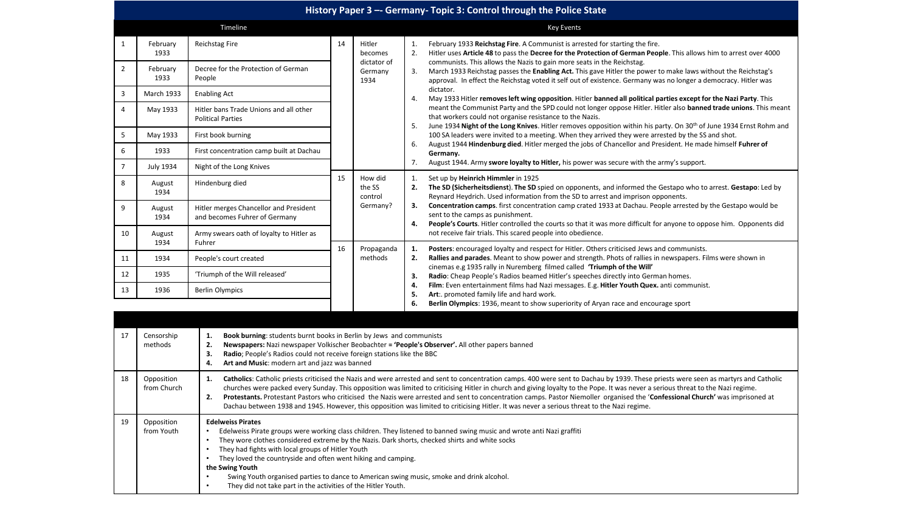|                | History Paper 3 -- Germany- Topic 3: Control through the Police State |                                                                                                                                                                                                                                                                                                                                                                                                                                                                                                                                                                                                                                                                                                                       |                   |                                                     |                                        |                                                                                                                                                                                                                                                                                                                                                                                                                                                                                                                                                                                                                                                                                                                                                                                                                                                                                                                                                                                                                                                                                                                                                                                                               |  |  |
|----------------|-----------------------------------------------------------------------|-----------------------------------------------------------------------------------------------------------------------------------------------------------------------------------------------------------------------------------------------------------------------------------------------------------------------------------------------------------------------------------------------------------------------------------------------------------------------------------------------------------------------------------------------------------------------------------------------------------------------------------------------------------------------------------------------------------------------|-------------------|-----------------------------------------------------|----------------------------------------|---------------------------------------------------------------------------------------------------------------------------------------------------------------------------------------------------------------------------------------------------------------------------------------------------------------------------------------------------------------------------------------------------------------------------------------------------------------------------------------------------------------------------------------------------------------------------------------------------------------------------------------------------------------------------------------------------------------------------------------------------------------------------------------------------------------------------------------------------------------------------------------------------------------------------------------------------------------------------------------------------------------------------------------------------------------------------------------------------------------------------------------------------------------------------------------------------------------|--|--|
|                |                                                                       | Timeline                                                                                                                                                                                                                                                                                                                                                                                                                                                                                                                                                                                                                                                                                                              | <b>Key Events</b> |                                                     |                                        |                                                                                                                                                                                                                                                                                                                                                                                                                                                                                                                                                                                                                                                                                                                                                                                                                                                                                                                                                                                                                                                                                                                                                                                                               |  |  |
| $\mathbf{1}$   | February<br>1933                                                      | Reichstag Fire                                                                                                                                                                                                                                                                                                                                                                                                                                                                                                                                                                                                                                                                                                        | 14                | Hitler<br>becomes<br>dictator of<br>Germany<br>1934 | 1.<br>2.<br>3.<br>4.<br>5.<br>6.<br>7. | February 1933 Reichstag Fire. A Communist is arrested for starting the fire.<br>Hitler uses Article 48 to pass the Decree for the Protection of German People. This allows him to arrest over 4000<br>communists. This allows the Nazis to gain more seats in the Reichstag.<br>March 1933 Reichstag passes the <b>Enabling Act.</b> This gave Hitler the power to make laws without the Reichstag's<br>approval. In effect the Reichstag voted it self out of existence. Germany was no longer a democracy. Hitler was<br>dictator.<br>May 1933 Hitler removes left wing opposition. Hitler banned all political parties except for the Nazi Party. This<br>meant the Communist Party and the SPD could not longer oppose Hitler. Hitler also banned trade unions. This meant<br>that workers could not organise resistance to the Nazis.<br>June 1934 Night of the Long Knives. Hitler removes opposition within his party. On 30 <sup>th</sup> of June 1934 Ernst Rohm and<br>100 SA leaders were invited to a meeting. When they arrived they were arrested by the SS and shot.<br>August 1944 Hindenburg died. Hitler merged the jobs of Chancellor and President. He made himself Fuhrer of<br>Germany. |  |  |
| $\overline{2}$ | February<br>1933                                                      | Decree for the Protection of German<br>People                                                                                                                                                                                                                                                                                                                                                                                                                                                                                                                                                                                                                                                                         |                   |                                                     |                                        |                                                                                                                                                                                                                                                                                                                                                                                                                                                                                                                                                                                                                                                                                                                                                                                                                                                                                                                                                                                                                                                                                                                                                                                                               |  |  |
| 3              | <b>March 1933</b>                                                     | <b>Enabling Act</b>                                                                                                                                                                                                                                                                                                                                                                                                                                                                                                                                                                                                                                                                                                   |                   |                                                     |                                        |                                                                                                                                                                                                                                                                                                                                                                                                                                                                                                                                                                                                                                                                                                                                                                                                                                                                                                                                                                                                                                                                                                                                                                                                               |  |  |
| $\overline{4}$ | May 1933                                                              | Hitler bans Trade Unions and all other<br><b>Political Parties</b>                                                                                                                                                                                                                                                                                                                                                                                                                                                                                                                                                                                                                                                    |                   |                                                     |                                        |                                                                                                                                                                                                                                                                                                                                                                                                                                                                                                                                                                                                                                                                                                                                                                                                                                                                                                                                                                                                                                                                                                                                                                                                               |  |  |
| 5              | May 1933                                                              | First book burning                                                                                                                                                                                                                                                                                                                                                                                                                                                                                                                                                                                                                                                                                                    |                   |                                                     |                                        |                                                                                                                                                                                                                                                                                                                                                                                                                                                                                                                                                                                                                                                                                                                                                                                                                                                                                                                                                                                                                                                                                                                                                                                                               |  |  |
| 6              | 1933                                                                  | First concentration camp built at Dachau                                                                                                                                                                                                                                                                                                                                                                                                                                                                                                                                                                                                                                                                              |                   |                                                     |                                        |                                                                                                                                                                                                                                                                                                                                                                                                                                                                                                                                                                                                                                                                                                                                                                                                                                                                                                                                                                                                                                                                                                                                                                                                               |  |  |
| $\overline{7}$ | <b>July 1934</b>                                                      | Night of the Long Knives                                                                                                                                                                                                                                                                                                                                                                                                                                                                                                                                                                                                                                                                                              |                   |                                                     |                                        | August 1944. Army swore loyalty to Hitler, his power was secure with the army's support.                                                                                                                                                                                                                                                                                                                                                                                                                                                                                                                                                                                                                                                                                                                                                                                                                                                                                                                                                                                                                                                                                                                      |  |  |
| 8              | August<br>1934                                                        | Hindenburg died                                                                                                                                                                                                                                                                                                                                                                                                                                                                                                                                                                                                                                                                                                       | 15                | How did<br>the SS<br>control<br>Germany?            | 1.<br>2.<br>3.<br>4.<br>1.<br>2.<br>3. | Set up by Heinrich Himmler in 1925<br>The SD (Sicherheitsdienst). The SD spied on opponents, and informed the Gestapo who to arrest. Gestapo: Led by<br>Reynard Heydrich. Used information from the SD to arrest and imprison opponents.<br><b>Concentration camps.</b> first concentration camp crated 1933 at Dachau. People arrested by the Gestapo would be<br>sent to the camps as punishment.<br>People's Courts. Hitler controlled the courts so that it was more difficult for anyone to oppose him. Opponents did<br>not receive fair trials. This scared people into obedience.<br>Posters: encouraged loyalty and respect for Hitler. Others criticised Jews and communists.<br>Rallies and parades. Meant to show power and strength. Phots of rallies in newspapers. Films were shown in<br>cinemas e.g 1935 rally in Nuremberg filmed called 'Triumph of the Will'<br>Radio: Cheap People's Radios beamed Hitler's speeches directly into German homes.                                                                                                                                                                                                                                         |  |  |
| 9              | August<br>1934                                                        | Hitler merges Chancellor and President<br>and becomes Fuhrer of Germany                                                                                                                                                                                                                                                                                                                                                                                                                                                                                                                                                                                                                                               |                   |                                                     |                                        |                                                                                                                                                                                                                                                                                                                                                                                                                                                                                                                                                                                                                                                                                                                                                                                                                                                                                                                                                                                                                                                                                                                                                                                                               |  |  |
| 10             | August<br>1934                                                        | Army swears oath of loyalty to Hitler as<br>Fuhrer                                                                                                                                                                                                                                                                                                                                                                                                                                                                                                                                                                                                                                                                    |                   |                                                     |                                        |                                                                                                                                                                                                                                                                                                                                                                                                                                                                                                                                                                                                                                                                                                                                                                                                                                                                                                                                                                                                                                                                                                                                                                                                               |  |  |
| 11             | 1934                                                                  | People's court created                                                                                                                                                                                                                                                                                                                                                                                                                                                                                                                                                                                                                                                                                                | 16                | Propaganda<br>methods                               |                                        |                                                                                                                                                                                                                                                                                                                                                                                                                                                                                                                                                                                                                                                                                                                                                                                                                                                                                                                                                                                                                                                                                                                                                                                                               |  |  |
| 12             | 1935                                                                  | 'Triumph of the Will released'                                                                                                                                                                                                                                                                                                                                                                                                                                                                                                                                                                                                                                                                                        |                   |                                                     |                                        |                                                                                                                                                                                                                                                                                                                                                                                                                                                                                                                                                                                                                                                                                                                                                                                                                                                                                                                                                                                                                                                                                                                                                                                                               |  |  |
| 13             | 1936                                                                  | <b>Berlin Olympics</b>                                                                                                                                                                                                                                                                                                                                                                                                                                                                                                                                                                                                                                                                                                |                   |                                                     | 4.<br>5.                               | Film: Even entertainment films had Nazi messages. E.g. Hitler Youth Quex. anti communist.<br>Art: promoted family life and hard work.                                                                                                                                                                                                                                                                                                                                                                                                                                                                                                                                                                                                                                                                                                                                                                                                                                                                                                                                                                                                                                                                         |  |  |
|                |                                                                       |                                                                                                                                                                                                                                                                                                                                                                                                                                                                                                                                                                                                                                                                                                                       |                   |                                                     | 6.                                     | Berlin Olympics: 1936, meant to show superiority of Aryan race and encourage sport                                                                                                                                                                                                                                                                                                                                                                                                                                                                                                                                                                                                                                                                                                                                                                                                                                                                                                                                                                                                                                                                                                                            |  |  |
|                |                                                                       |                                                                                                                                                                                                                                                                                                                                                                                                                                                                                                                                                                                                                                                                                                                       |                   |                                                     |                                        |                                                                                                                                                                                                                                                                                                                                                                                                                                                                                                                                                                                                                                                                                                                                                                                                                                                                                                                                                                                                                                                                                                                                                                                                               |  |  |
| 17             | Censorship<br>methods                                                 | Book burning: students burnt books in Berlin by Jews and communists<br>1.<br>2.<br>Newspapers: Nazi newspaper Volkischer Beobachter = 'People's Observer'. All other papers banned<br>3.<br>Radio; People's Radios could not receive foreign stations like the BBC<br>4.<br>Art and Music: modern art and jazz was banned                                                                                                                                                                                                                                                                                                                                                                                             |                   |                                                     |                                        |                                                                                                                                                                                                                                                                                                                                                                                                                                                                                                                                                                                                                                                                                                                                                                                                                                                                                                                                                                                                                                                                                                                                                                                                               |  |  |
| 18             | Opposition<br>from Church                                             | Catholics: Catholic priests criticised the Nazis and were arrested and sent to concentration camps. 400 were sent to Dachau by 1939. These priests were seen as martyrs and Catholic<br>1.<br>churches were packed every Sunday. This opposition was limited to criticising Hitler in church and giving loyalty to the Pope. It was never a serious threat to the Nazi regime.<br>2.<br>Protestants. Protestant Pastors who criticised the Nazis were arrested and sent to concentration camps. Pastor Niemoller organised the 'Confessional Church' was imprisoned at<br>Dachau between 1938 and 1945. However, this opposition was limited to criticising Hitler. It was never a serious threat to the Nazi regime. |                   |                                                     |                                        |                                                                                                                                                                                                                                                                                                                                                                                                                                                                                                                                                                                                                                                                                                                                                                                                                                                                                                                                                                                                                                                                                                                                                                                                               |  |  |
| 19             | Opposition<br>from Youth                                              | <b>Edelweiss Pirates</b><br>Edelweiss Pirate groups were working class children. They listened to banned swing music and wrote anti Nazi graffiti<br>They wore clothes considered extreme by the Nazis. Dark shorts, checked shirts and white socks<br>They had fights with local groups of Hitler Youth<br>$\bullet$<br>They loved the countryside and often went hiking and camping.<br>the Swing Youth<br>Swing Youth organised parties to dance to American swing music, smoke and drink alcohol.<br>They did not take part in the activities of the Hitler Youth.                                                                                                                                                |                   |                                                     |                                        |                                                                                                                                                                                                                                                                                                                                                                                                                                                                                                                                                                                                                                                                                                                                                                                                                                                                                                                                                                                                                                                                                                                                                                                                               |  |  |